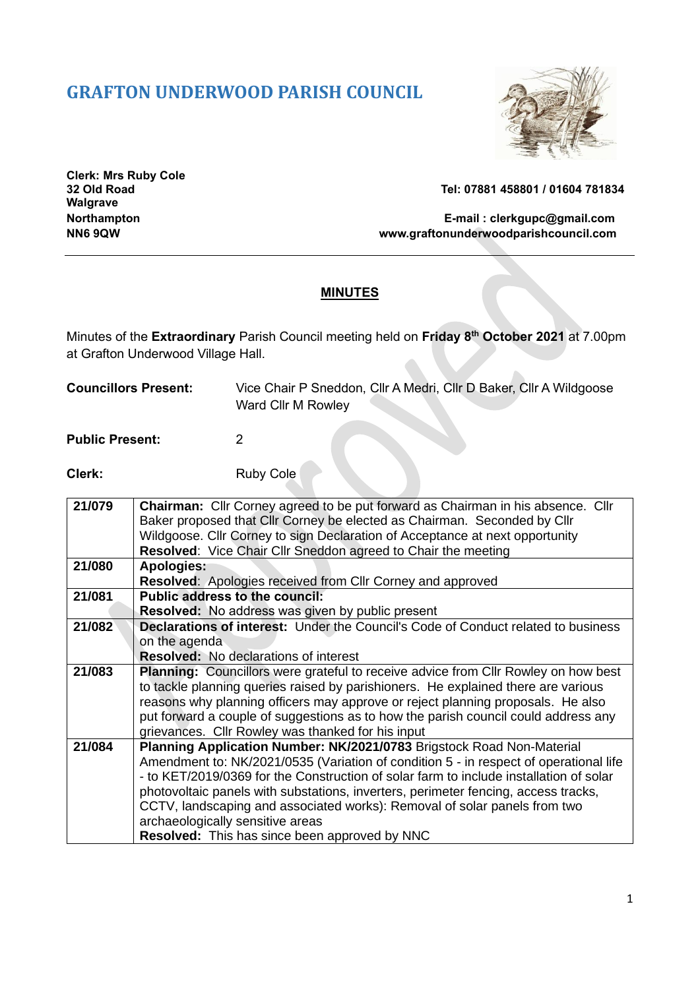## **GRAFTON UNDERWOOD PARISH COUNCIL**



**Clerk: Mrs Ruby Cole Walgrave**

**32 Old Road Tel: 07881 458801 / 01604 781834**

## **Northampton E-mail : [clerkgupc@gmail.com](mailto:clerkgupc@gmail.com)** www.graftonunderwoodparishcouncil.com

## **MINUTES**

Minutes of the **Extraordinary** Parish Council meeting held on **Friday 8th October 2021** at 7.00pm at Grafton Underwood Village Hall.

| <b>Councillors Present:</b> | Vice Chair P Sneddon, Cllr A Medri, Cllr D Baker, Cllr A Wildgoose |
|-----------------------------|--------------------------------------------------------------------|
|                             | Ward Cllr M Rowley                                                 |

**Public Present:** 2

**Clerk:** Ruby Cole

| Baker proposed that Cllr Corney be elected as Chairman. Seconded by Cllr                  |
|-------------------------------------------------------------------------------------------|
| Wildgoose. Cllr Corney to sign Declaration of Acceptance at next opportunity              |
|                                                                                           |
|                                                                                           |
|                                                                                           |
|                                                                                           |
|                                                                                           |
| <b>Declarations of interest:</b> Under the Council's Code of Conduct related to business  |
|                                                                                           |
|                                                                                           |
| <b>Planning:</b> Councillors were grateful to receive advice from Cllr Rowley on how best |
| to tackle planning queries raised by parishioners. He explained there are various         |
| reasons why planning officers may approve or reject planning proposals. He also           |
| put forward a couple of suggestions as to how the parish council could address any        |
|                                                                                           |
| Planning Application Number: NK/2021/0783 Brigstock Road Non-Material                     |
| Amendment to: NK/2021/0535 (Variation of condition 5 - in respect of operational life     |
|                                                                                           |
| - to KET/2019/0369 for the Construction of solar farm to include installation of solar    |
| photovoltaic panels with substations, inverters, perimeter fencing, access tracks,        |
| CCTV, landscaping and associated works): Removal of solar panels from two                 |
|                                                                                           |
|                                                                                           |
|                                                                                           |